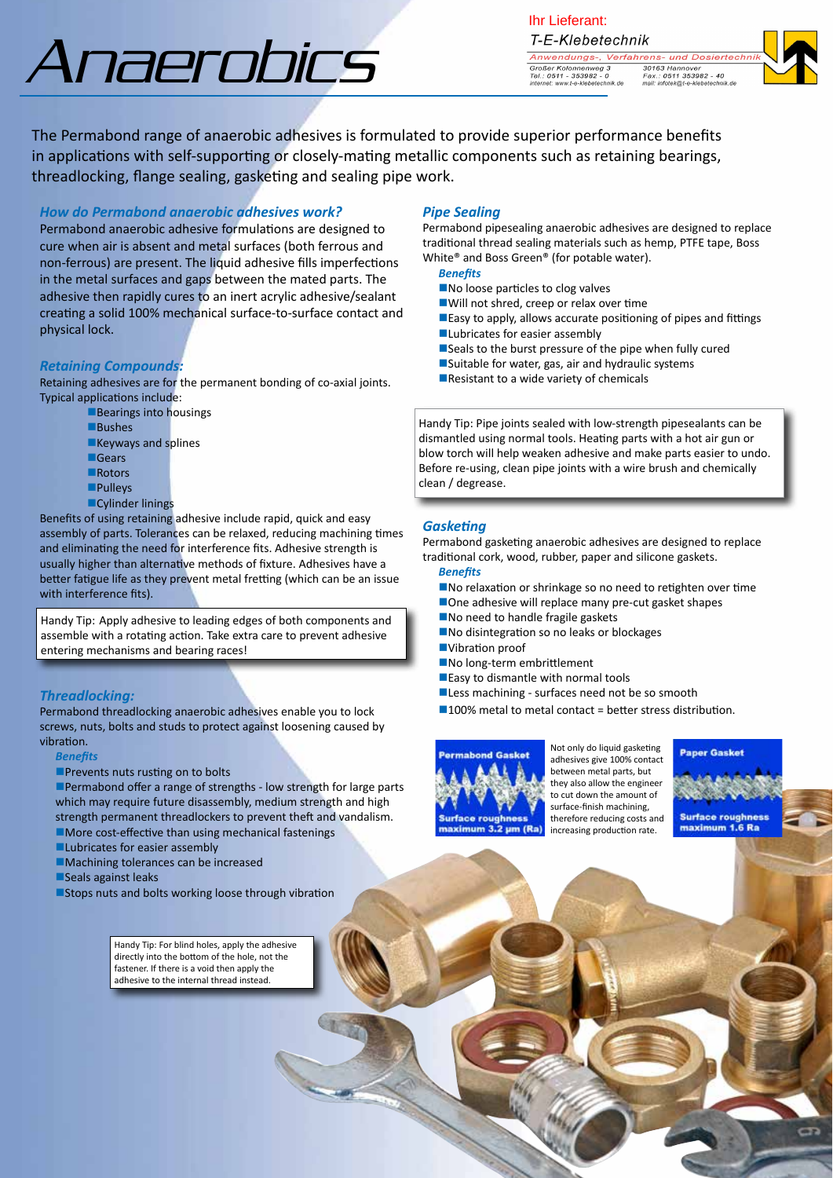# Anaerobics

Ihr Lieferant:T-E-Klebetechnik Anwendungs-, Verfahrens- und Dosiertech Großer Kolonnenweg 3<br>Tel.: 0511 - 353982 - 0<br>internet: www.t-e-klebetechnik.de 30163 Hannover<br>Fax.: 0511 353982 - 40<br>mail: infotek@t-e-klebetechnik.de

The Permabond range of anaerobic adhesives is formulated to provide superior performance benefits in applications with self-supporting or closely-mating metallic components such as retaining bearings, threadlocking, flange sealing, gasketing and sealing pipe work.

# *How do Permabond anaerobic adhesives work?*

Permabond anaerobic adhesive formulations are designed to cure when air is absent and metal surfaces (both ferrous and non-ferrous) are present. The liquid adhesive fills imperfections in the metal surfaces and gaps between the mated parts. The adhesive then rapidly cures to an inert acrylic adhesive/sealant creating a solid 100% mechanical surface-to-surface contact and physical lock.

#### *Retaining Compounds:*

Retaining adhesives are for the permanent bonding of co-axial joints. Typical applications include:

- $\blacksquare$  Bearings into housings
	- **Bushes**
	- **Keyways and splines**
	- **nGears**
	- **Rotors**
	- **n**Pulleys
	- **nCylinder linings**

Benefits of using retaining adhesive include rapid, quick and easy assembly of parts. Tolerances can be relaxed, reducing machining times and eliminating the need for interference fits. Adhesive strength is usually higher than alternative methods of fixture. Adhesives have a better fatigue life as they prevent metal fretting (which can be an issue with interference fits).

Handy Tip: Apply adhesive to leading edges of both components and assemble with a rotating action. Take extra care to prevent adhesive entering mechanisms and bearing races!

#### *Threadlocking:*

Permabond threadlocking anaerobic adhesives enable you to lock screws, nuts, bolts and studs to protect against loosening caused by vibration.

- *Benefits*
- **Prevents nuts rusting on to bolts**

Permabond offer a range of strengths - low strength for large parts which may require future disassembly, medium strength and high strength permanent threadlockers to prevent theft and vandalism.  $\blacksquare$  More cost-effective than using mechanical fastenings

- **Lubricates for easier assembly**
- **nMachining tolerances can be increased**
- Seals against leaks
- **n**Stops nuts and bolts working loose through vibration

Handy Tip: For blind holes, apply the adhesive directly into the bottom of the hole, not the fastener. If there is a void then apply the adhesive to the internal thread instead.

# *Pipe Sealing*

Permabond pipesealing anaerobic adhesives are designed to replace traditional thread sealing materials such as hemp, PTFE tape, Boss White® and Boss Green® (for potable water).

- *Benefits*
- $\blacksquare$  No loose particles to clog valves
- ■Will not shred, creep or relax over time
- **Easy to apply, allows accurate positioning of pipes and fittings**
- **Lubricates for easier assembly**
- $\blacksquare$  Seals to the burst pressure of the pipe when fully cured
- $\square$ Suitable for water, gas, air and hydraulic systems
- $\blacksquare$  Resistant to a wide variety of chemicals

Handy Tip: Pipe joints sealed with low-strength pipesealants can be dismantled using normal tools. Heating parts with a hot air gun or blow torch will help weaken adhesive and make parts easier to undo. Before re-using, clean pipe joints with a wire brush and chemically clean / degrease.

### *Gasketing*

Permabond gasketing anaerobic adhesives are designed to replace traditional cork, wood, rubber, paper and silicone gaskets.

- *Benefits*
- No relaxation or shrinkage so no need to retighten over time ■ One adhesive will replace many pre-cut gasket shapes
- No need to handle fragile gaskets
- No disintegration so no leaks or blockages
- ■Vibration proof
- No long-term embrittlement
- **Easy to dismantle with normal tools**
- Less machining surfaces need not be so smooth
- $100\%$  metal to metal contact = better stress distribution.



Not only do liquid gasketing adhesives give 100% contact between metal parts, but they also allow the engineer to cut down the amount of surface-finish machining, therefore reducing costs and increasing production rate.

**Paper Gasket** 

**Surface roughnes** maximum 1.6 Ra